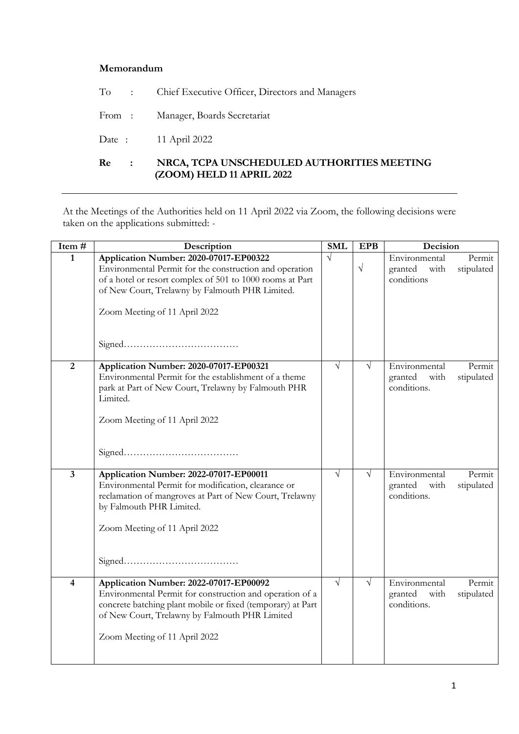## **Memorandum**

|  | To : Chief Executive Officer, Directors and Managers |
|--|------------------------------------------------------|
|  | From: Manager, Boards Secretariat                    |
|  | Date: 11 April 2022                                  |

## **Re : NRCA, TCPA UNSCHEDULED AUTHORITIES MEETING (ZOOM) HELD 11 APRIL 2022**

At the Meetings of the Authorities held on 11 April 2022 via Zoom, the following decisions were taken on the applications submitted: -

| Item $\frac{1}{4}$      | Description                                                                                                                                                                                                                                          |            | <b>EPB</b> | Decision                                                                |  |
|-------------------------|------------------------------------------------------------------------------------------------------------------------------------------------------------------------------------------------------------------------------------------------------|------------|------------|-------------------------------------------------------------------------|--|
| 1                       | Application Number: 2020-07017-EP00322<br>Environmental Permit for the construction and operation<br>of a hotel or resort complex of 501 to 1000 rooms at Part<br>of New Court, Trelawny by Falmouth PHR Limited.<br>Zoom Meeting of 11 April 2022   | $\sqrt{}$  | $\sqrt{ }$ | Environmental<br>Permit<br>stipulated<br>granted with<br>conditions     |  |
| $\overline{2}$          | Application Number: 2020-07017-EP00321<br>Environmental Permit for the establishment of a theme<br>park at Part of New Court, Trelawny by Falmouth PHR<br>Limited.<br>Zoom Meeting of 11 April 2022                                                  | $\sqrt{ }$ | V          | Environmental<br>Permit<br>stipulated<br>granted<br>with<br>conditions. |  |
| $\overline{\mathbf{3}}$ | Application Number: 2022-07017-EP00011<br>Environmental Permit for modification, clearance or<br>reclamation of mangroves at Part of New Court, Trelawny<br>by Falmouth PHR Limited.<br>Zoom Meeting of 11 April 2022                                | $\sqrt{ }$ |            | Environmental<br>Permit<br>granted<br>stipulated<br>with<br>conditions. |  |
| $\overline{\mathbf{4}}$ | Application Number: 2022-07017-EP00092<br>Environmental Permit for construction and operation of a<br>concrete batching plant mobile or fixed (temporary) at Part<br>of New Court, Trelawny by Falmouth PHR Limited<br>Zoom Meeting of 11 April 2022 | $\sqrt{ }$ |            | Environmental<br>Permit<br>granted<br>with<br>stipulated<br>conditions. |  |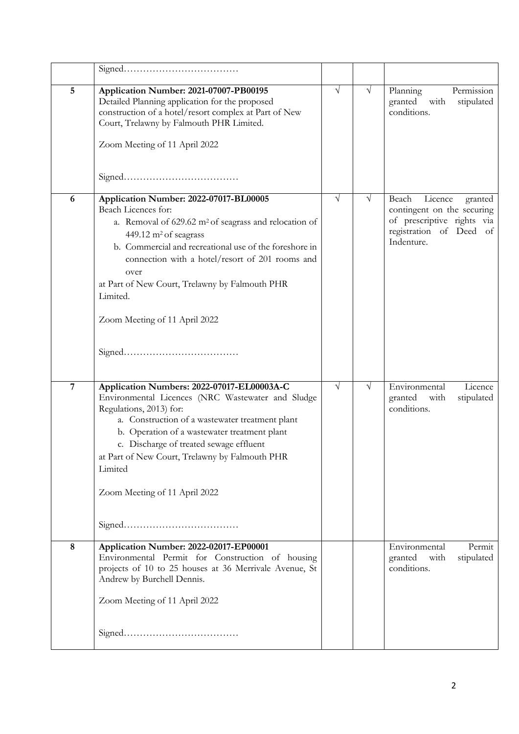| 5              | Application Number: 2021-07007-PB00195<br>Detailed Planning application for the proposed<br>construction of a hotel/resort complex at Part of New<br>Court, Trelawny by Falmouth PHR Limited.<br>Zoom Meeting of 11 April 2022                                                                                                                                                              | $\sqrt{}$  | $\sqrt{}$ | Planning<br>Permission<br>granted<br>with<br>stipulated<br>conditions.                                                           |
|----------------|---------------------------------------------------------------------------------------------------------------------------------------------------------------------------------------------------------------------------------------------------------------------------------------------------------------------------------------------------------------------------------------------|------------|-----------|----------------------------------------------------------------------------------------------------------------------------------|
| 6              | Application Number: 2022-07017-BL00005<br>Beach Licences for:<br>a. Removal of 629.62 m <sup>2</sup> of seagrass and relocation of<br>449.12 m <sup>2</sup> of seagrass<br>b. Commercial and recreational use of the foreshore in<br>connection with a hotel/resort of 201 rooms and<br>over<br>at Part of New Court, Trelawny by Falmouth PHR<br>Limited.<br>Zoom Meeting of 11 April 2022 | $\sqrt{}$  | V         | Beach<br>Licence<br>granted<br>contingent on the securing<br>of prescriptive rights via<br>registration of Deed of<br>Indenture. |
| $\overline{7}$ | Application Numbers: 2022-07017-EL00003A-C<br>Environmental Licences (NRC Wastewater and Sludge<br>Regulations, 2013) for:<br>a. Construction of a wastewater treatment plant<br>b. Operation of a wastewater treatment plant<br>c. Discharge of treated sewage effluent<br>at Part of New Court, Trelawny by Falmouth PHR<br>Limited<br>Zoom Meeting of 11 April 2022                      | $\sqrt{ }$ | V         | Environmental<br>Licence<br>granted<br>with<br>stipulated<br>conditions.                                                         |
| 8              | Application Number: 2022-02017-EP00001<br>Environmental Permit for Construction of housing<br>projects of 10 to 25 houses at 36 Merrivale Avenue, St<br>Andrew by Burchell Dennis.<br>Zoom Meeting of 11 April 2022                                                                                                                                                                         |            |           | Environmental<br>Permit<br>granted<br>stipulated<br>with<br>conditions.                                                          |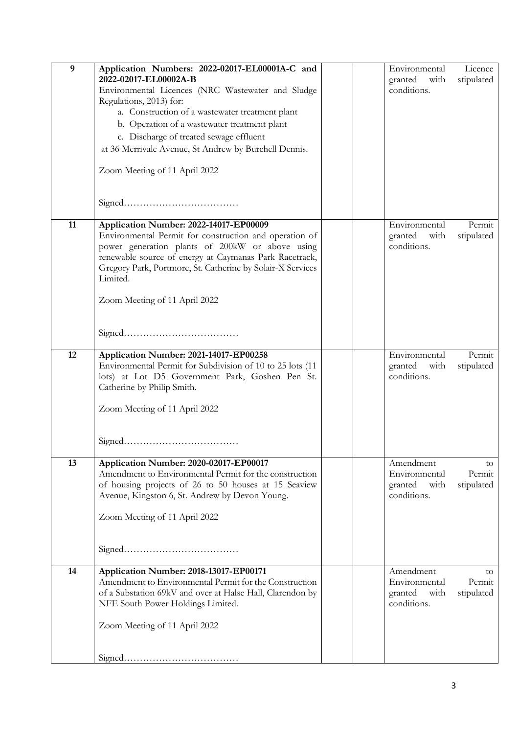| 9  | Application Numbers: 2022-02017-EL00001A-C and<br>2022-02017-EL00002A-B<br>Environmental Licences (NRC Wastewater and Sludge<br>Regulations, 2013) for:                                                                                                                                 |  | Environmental<br>granted<br>with<br>conditions.              | Licence<br>stipulated       |
|----|-----------------------------------------------------------------------------------------------------------------------------------------------------------------------------------------------------------------------------------------------------------------------------------------|--|--------------------------------------------------------------|-----------------------------|
|    | a. Construction of a wastewater treatment plant<br>b. Operation of a wastewater treatment plant                                                                                                                                                                                         |  |                                                              |                             |
|    | c. Discharge of treated sewage effluent                                                                                                                                                                                                                                                 |  |                                                              |                             |
|    | at 36 Merrivale Avenue, St Andrew by Burchell Dennis.                                                                                                                                                                                                                                   |  |                                                              |                             |
|    | Zoom Meeting of 11 April 2022                                                                                                                                                                                                                                                           |  |                                                              |                             |
|    |                                                                                                                                                                                                                                                                                         |  |                                                              |                             |
| 11 | Application Number: 2022-14017-EP00009<br>Environmental Permit for construction and operation of<br>power generation plants of 200kW or above using<br>renewable source of energy at Caymanas Park Racetrack,<br>Gregory Park, Portmore, St. Catherine by Solair-X Services<br>Limited. |  | Environmental<br>granted<br>with<br>conditions.              | Permit<br>stipulated        |
|    | Zoom Meeting of 11 April 2022                                                                                                                                                                                                                                                           |  |                                                              |                             |
| 12 | Application Number: 2021-14017-EP00258<br>Environmental Permit for Subdivision of 10 to 25 lots (11<br>lots) at Lot D5 Government Park, Goshen Pen St.<br>Catherine by Philip Smith.                                                                                                    |  | Environmental<br>granted<br>with<br>conditions.              | Permit<br>stipulated        |
|    | Zoom Meeting of 11 April 2022                                                                                                                                                                                                                                                           |  |                                                              |                             |
| 13 | Application Number: 2020-02017-EP00017                                                                                                                                                                                                                                                  |  | Amendment                                                    | to                          |
|    | Amendment to Environmental Permit for the construction<br>of housing projects of 26 to 50 houses at 15 Seaview<br>Avenue, Kingston 6, St. Andrew by Devon Young.<br>Zoom Meeting of 11 April 2022                                                                                       |  | Environmental<br>granted<br>with<br>conditions.              | Permit<br>stipulated        |
|    |                                                                                                                                                                                                                                                                                         |  |                                                              |                             |
| 14 | Application Number: 2018-13017-EP00171<br>Amendment to Environmental Permit for the Construction<br>of a Substation 69kV and over at Halse Hall, Clarendon by<br>NFE South Power Holdings Limited.                                                                                      |  | Amendment<br>Environmental<br>granted<br>with<br>conditions. | to.<br>Permit<br>stipulated |
|    | Zoom Meeting of 11 April 2022                                                                                                                                                                                                                                                           |  |                                                              |                             |
|    |                                                                                                                                                                                                                                                                                         |  |                                                              |                             |